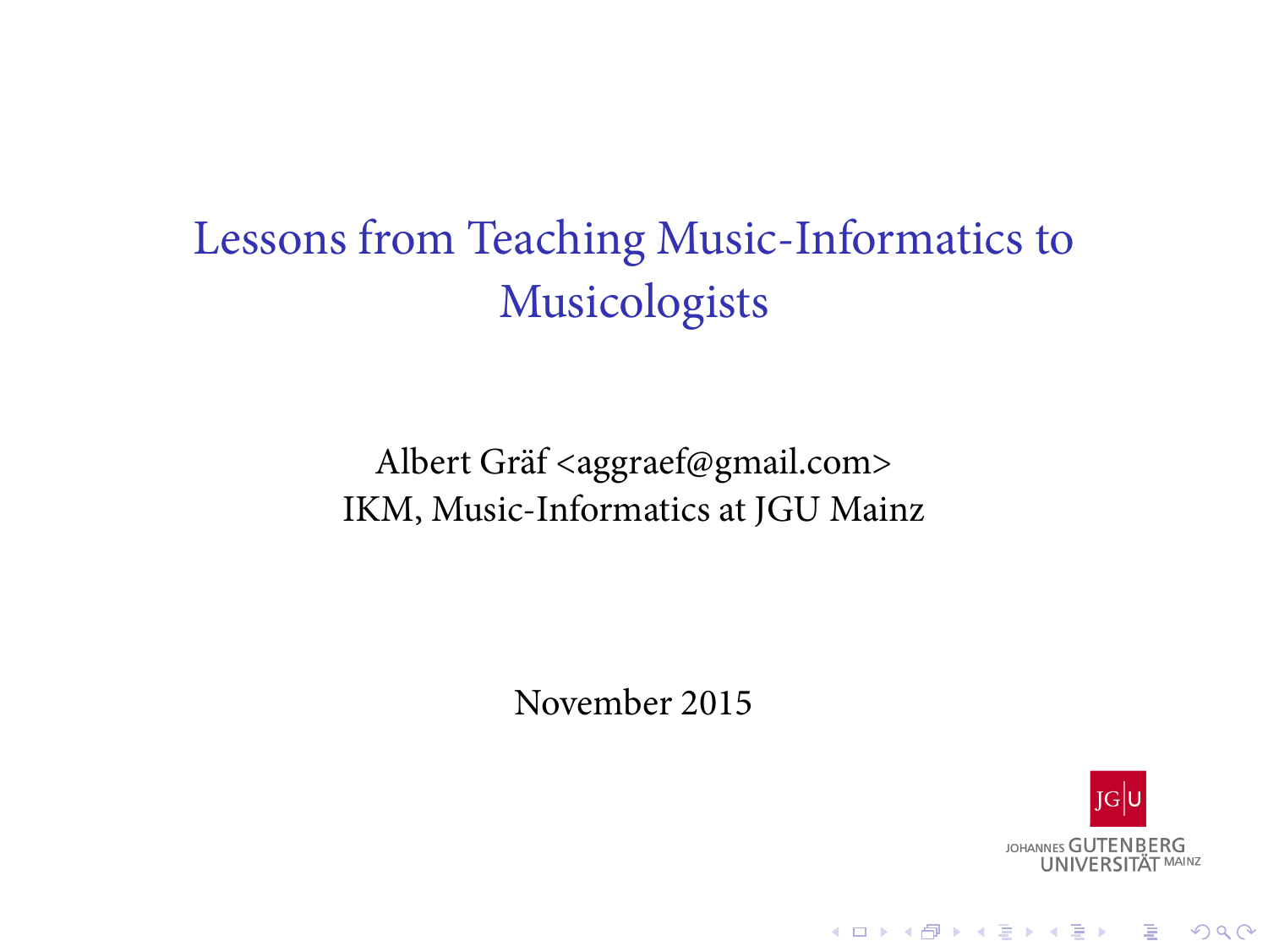Lessons from Teaching Music-Informatics to Musicologists

> Albert Gräf <aggraef@gmail.com> IKM, Music-Informatics at JGU Mainz

> > November 2015

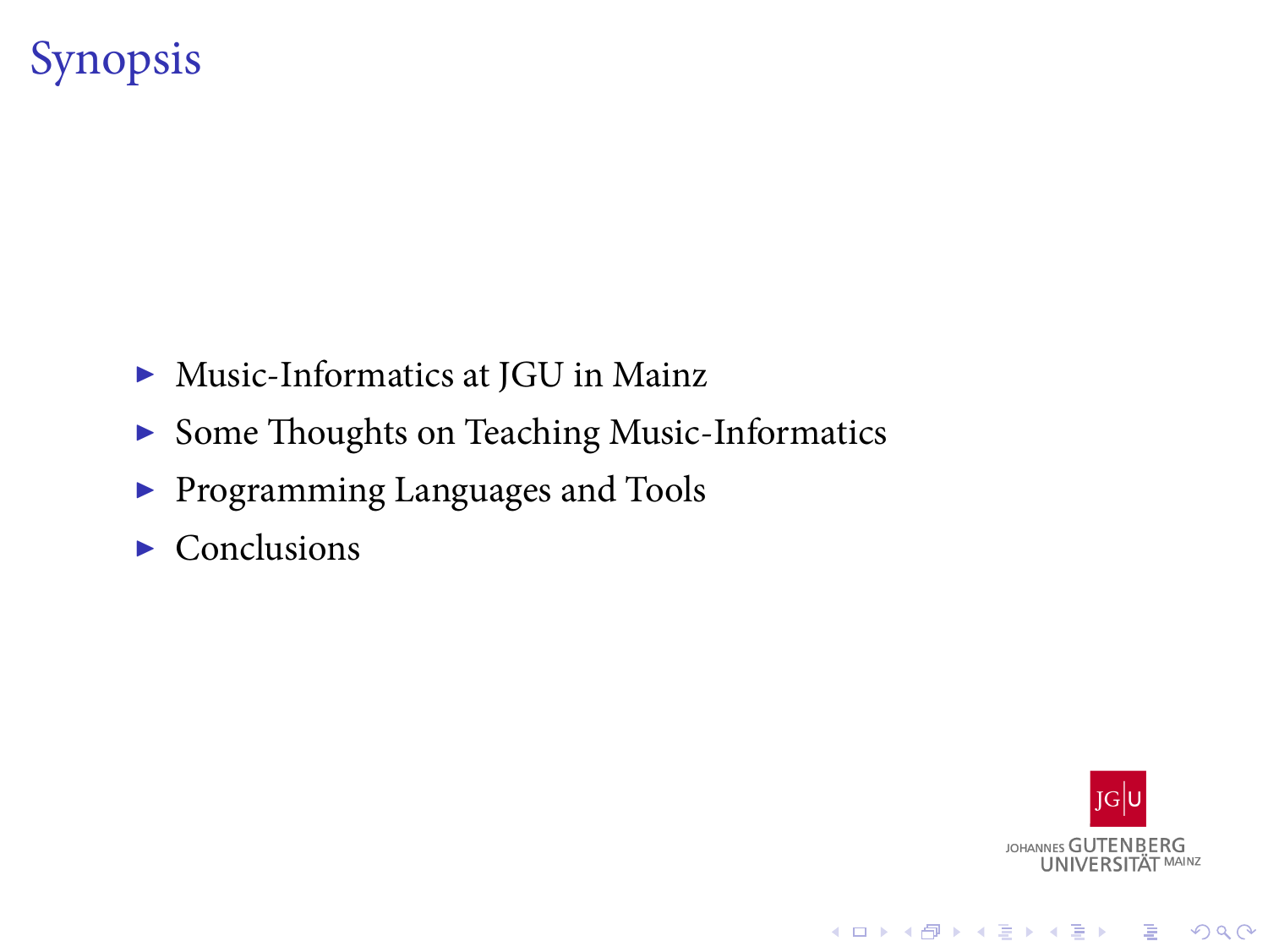# Synopsis

- $\blacktriangleright$  Music-Informatics at JGU in Mainz
- $\blacktriangleright$  Some Thoughts on Teaching Music-Informatics
- $\blacktriangleright$  Programming Languages and Tools
- $\blacktriangleright$  Conclusions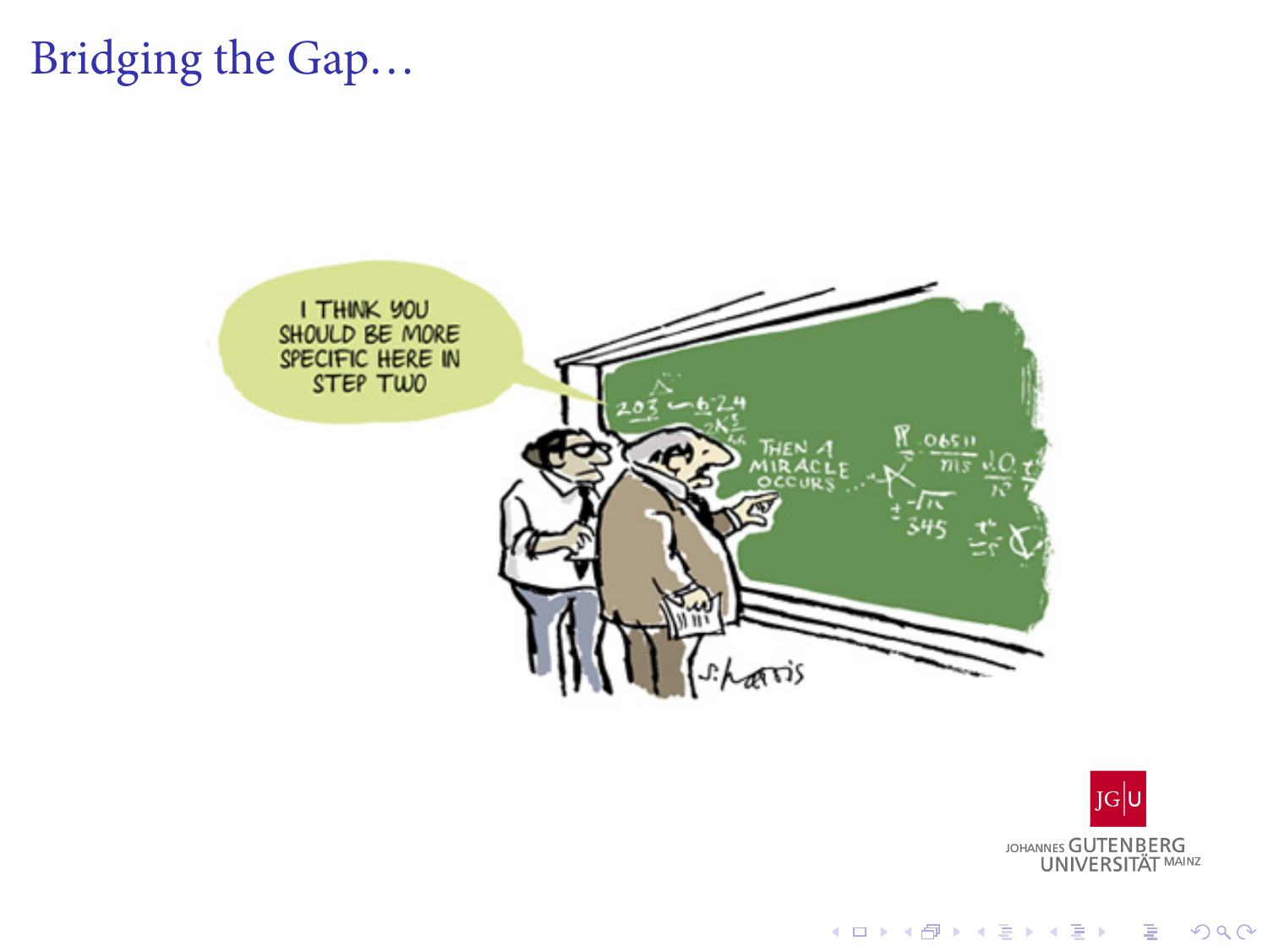Bridging the Gap...



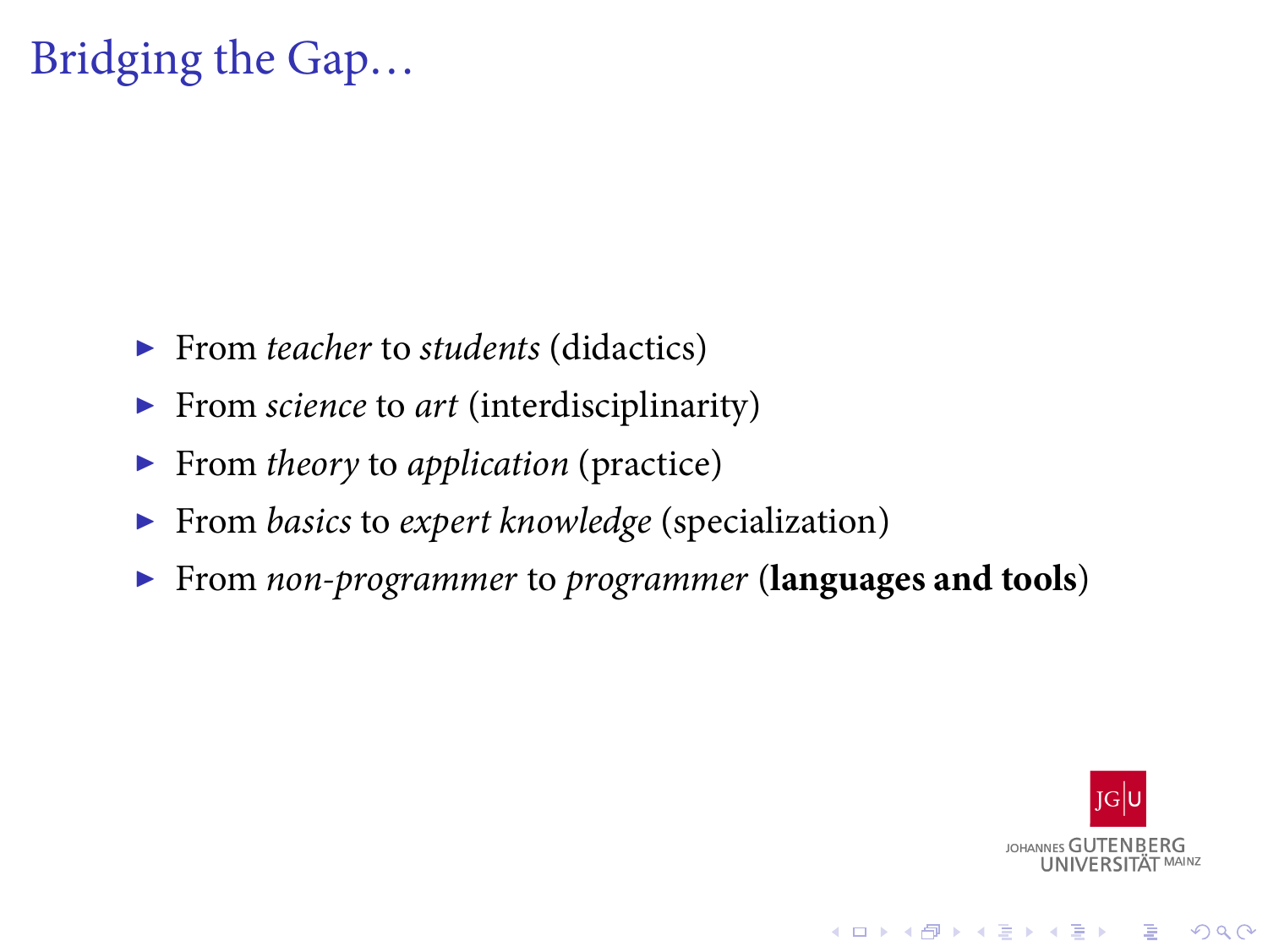# Bridging the Gap…

- ▶ From *teacher* to *students* (didactics)
- ▶ From *science* to *art* (interdisciplinarity)
- ▶ From *theory* to *application* (practice)
- ▶ From *basics* to *expert knowledge* (specialization)
- ▶ From *non-programmer* to *programmer* (**languages and tools**)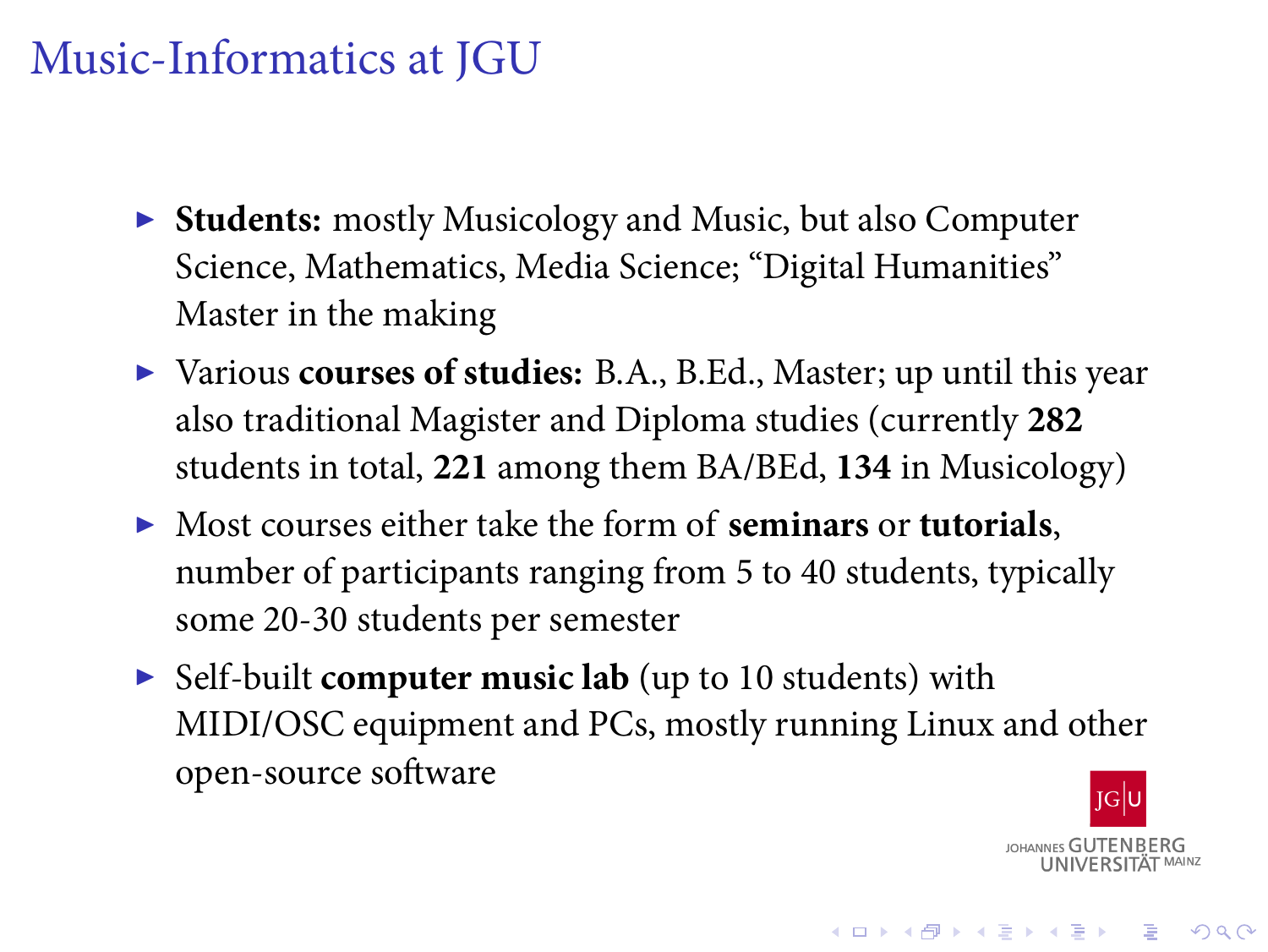### Music-Informatics at JGU

- ▶ **Students:** mostly Musicology and Music, but also Computer Science, Mathematics, Media Science; "Digital Humanities" Master in the making
- ▶ Various **courses of studies:** B.A., B.Ed., Master; up until this year also traditional Magister and Diploma studies (currently **282** students in total, **221** among them BA/BEd, **134** in Musicology)
- ▶ Most courses either take the form of **seminars** or **tutorials**, number of participants ranging from 5 to 40 students, typically some 20-30 students per semester
- ▶ Self-built **computer music lab** (up to 10 students) with MIDI/OSC equipment and PCs, mostly running Linux and other open-source software

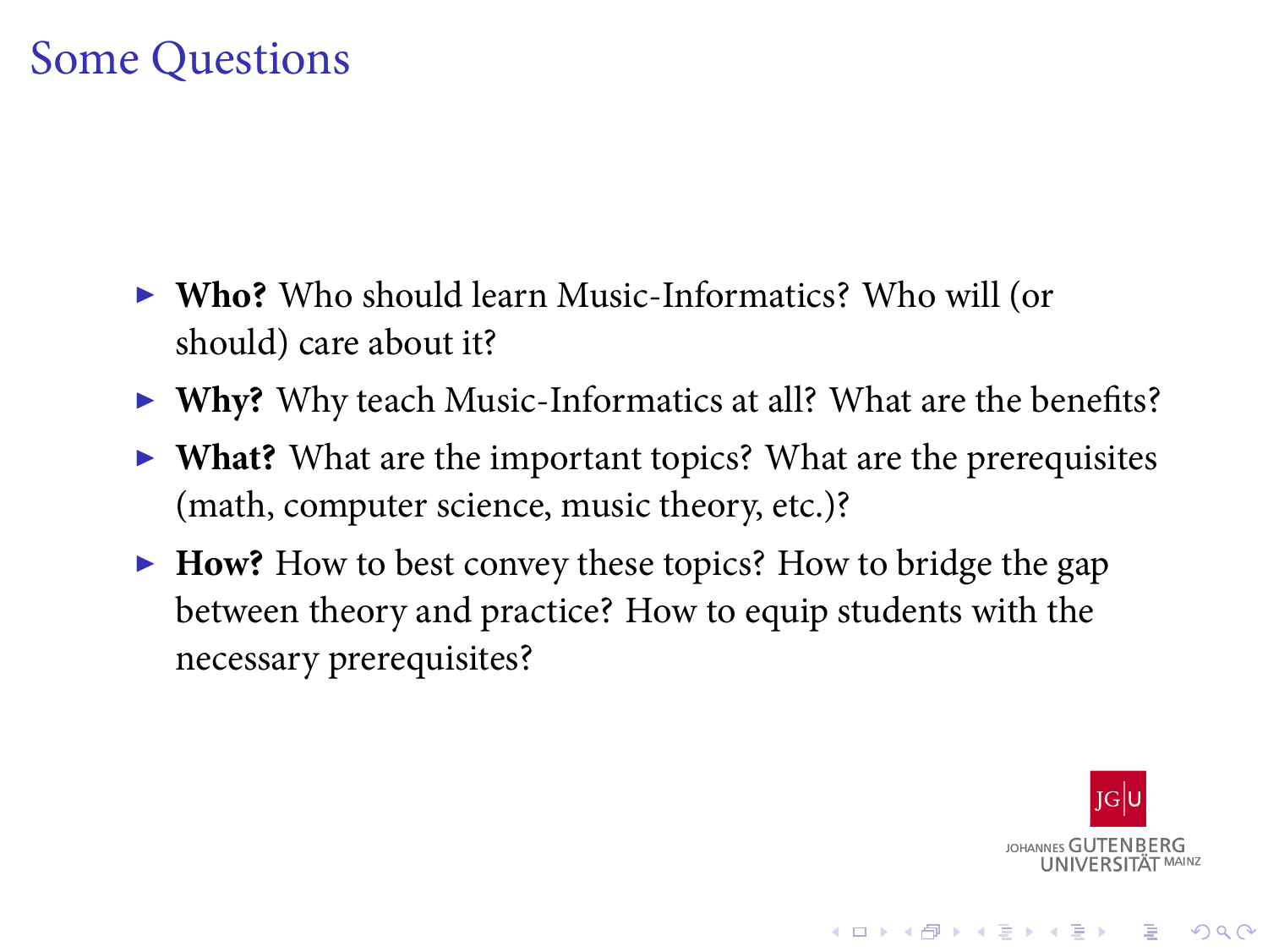## Some Questions

- ▶ **Who?** Who should learn Music-Informatics? Who will (or should) care about it?
- ▶ **Why?** Why teach Music-Informatics at all? What are the benefits?
- ▶ **What?** What are the important topics? What are the prerequisites (math, computer science, music theory, etc.)?
- ▶ **How?** How to best convey these topics? How to bridge the gap between theory and practice? How to equip students with the necessary prerequisites?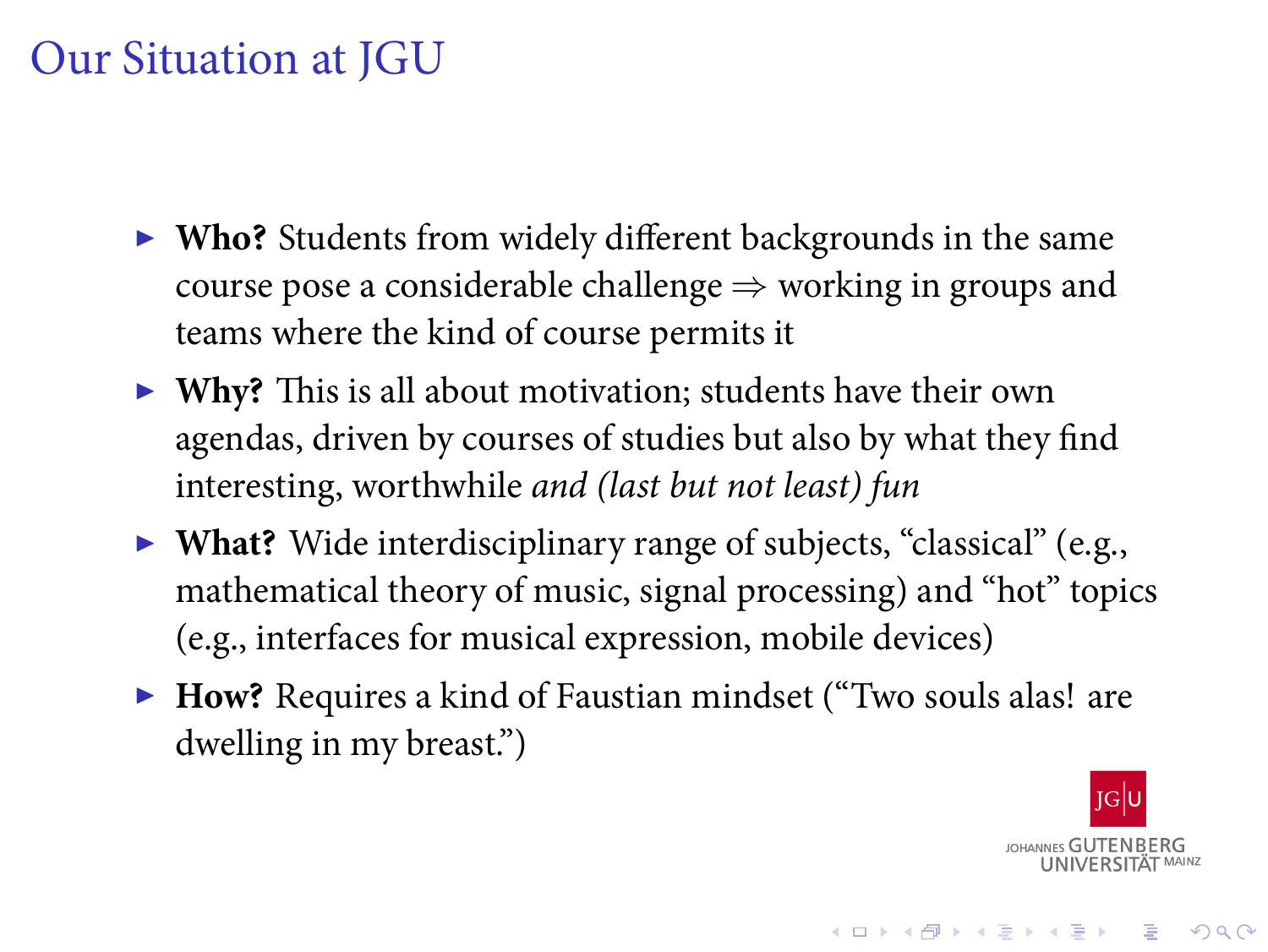### Our Situation at JGU

- ▶ **Who?** Students from widely different backgrounds in the same course pose a considerable challenge *⇒* working in groups and teams where the kind of course permits it
- ▶ **Why?** This is all about motivation; students have their own agendas, driven by courses of studies but also by what they find interesting, worthwhile *and (last but not least) fun*
- ▶ **What?** Wide interdisciplinary range of subjects, "classical" (e.g., mathematical theory of music, signal processing) and "hot" topics (e.g., interfaces for musical expression, mobile devices)
- ▶ **How?** Requires a kind of Faustian mindset ("Two souls alas! are dwelling in my breast.")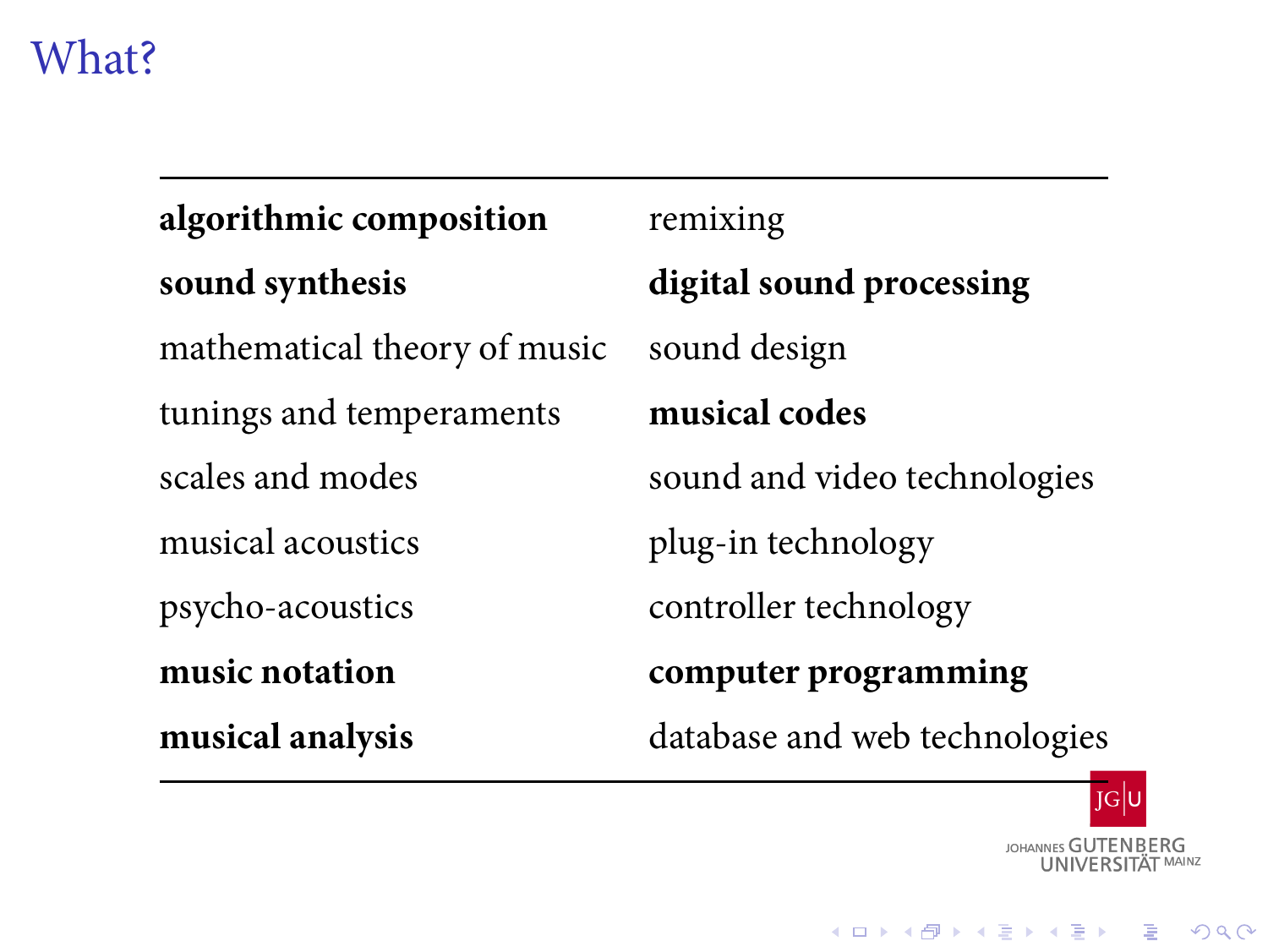# What?

| algorithmic composition      | remixing                      |
|------------------------------|-------------------------------|
| sound synthesis              | digital sound processing      |
| mathematical theory of music | sound design                  |
| tunings and temperaments     | musical codes                 |
| scales and modes             | sound and video technologies  |
| musical acoustics            | plug-in technology            |
| psycho-acoustics             | controller technology         |
| music notation               | computer programming          |
| musical analysis             | database and web technologies |

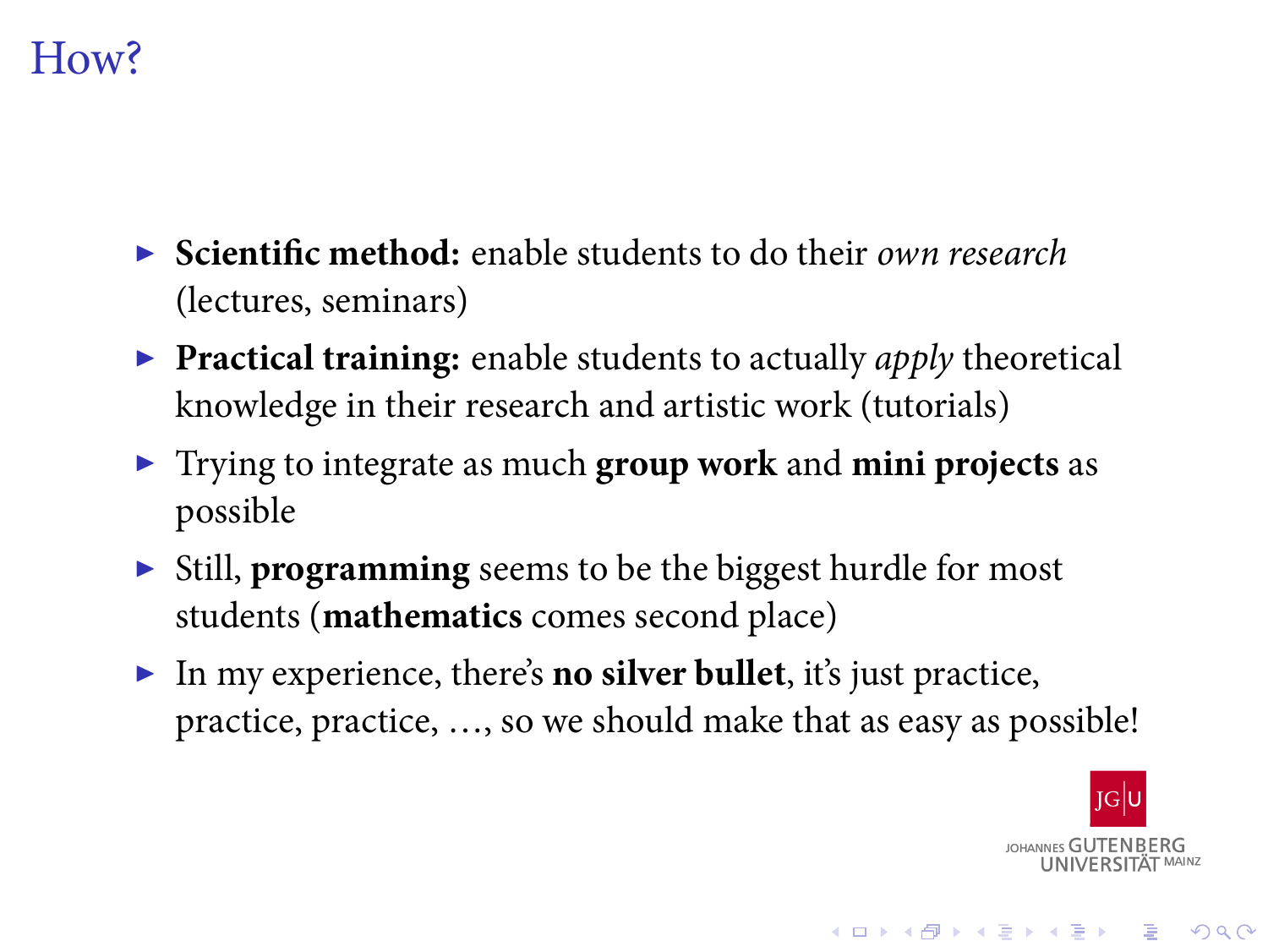### How?

- ▶ **Scientific method:** enable students to do their *own research* (lectures, seminars)
- ▶ **Practical training:** enable students to actually *apply* theoretical knowledge in their research and artistic work (tutorials)
- ▶ Trying to integrate as much **group work** and **mini projects** as possible
- ▶ Still, **programming** seems to be the biggest hurdle for most students (**mathematics** comes second place)
- ▶ In my experience, there's **no silver bullet**, it's just practice, practice, practice, …, so we should make that as easy as possible!

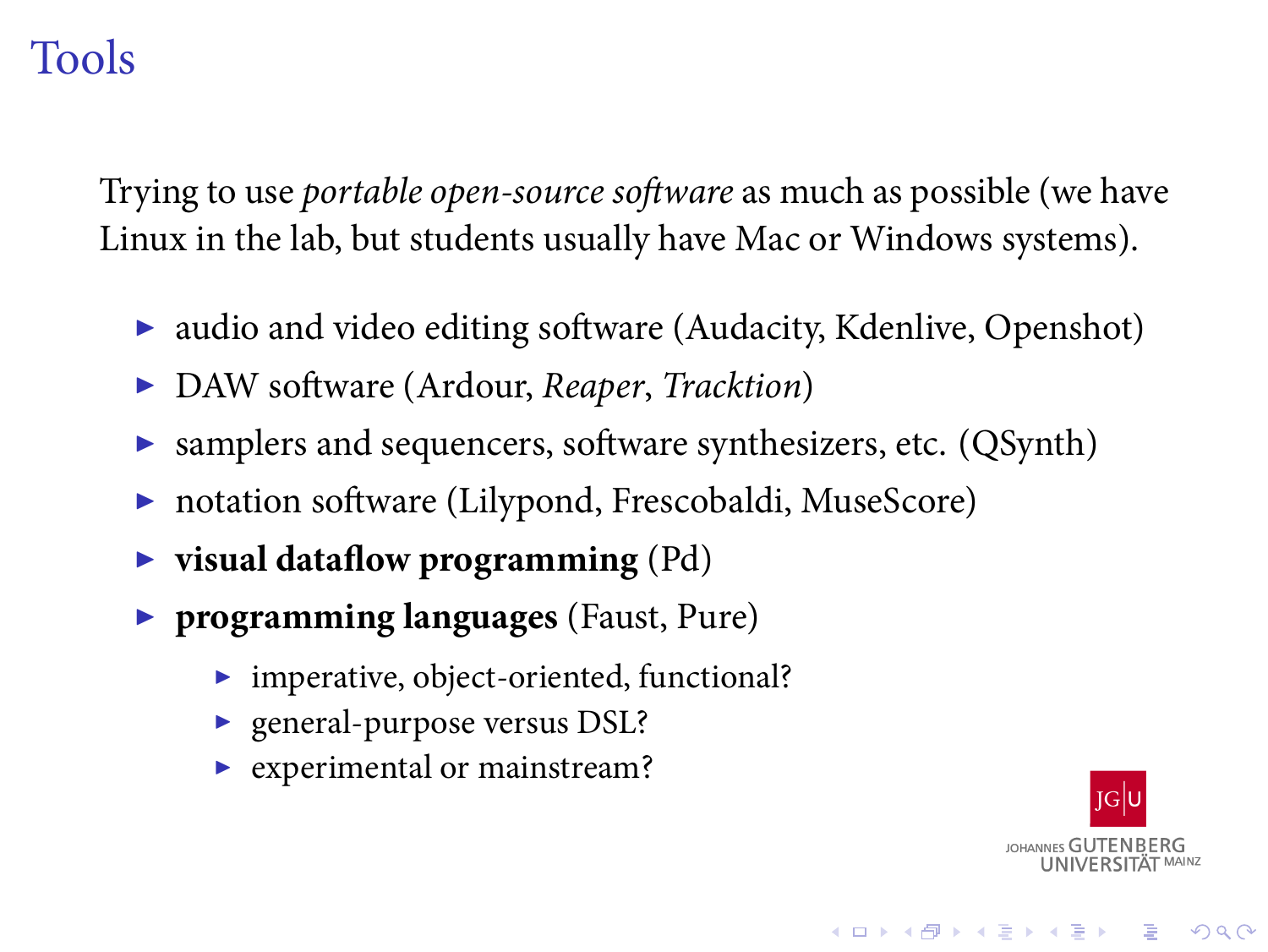## Tools

Trying to use *portable open-source software* as much as possible (we have Linux in the lab, but students usually have Mac or Windows systems).

- ▶ audio and video editing software (Audacity, Kdenlive, Openshot)
- ▶ DAW software (Ardour, *Reaper*, *Tracktion*)
- ▶ samplers and sequencers, software synthesizers, etc. (QSynth)
- ▶ notation software (Lilypond, Frescobaldi, MuseScore)
- ▶ **visual dataflow programming** (Pd)
- ▶ **programming languages** (Faust, Pure)
	- ▶ imperative, object-oriented, functional?
	- ▶ general-purpose versus DSL?
	- ▶ experimental or mainstream?

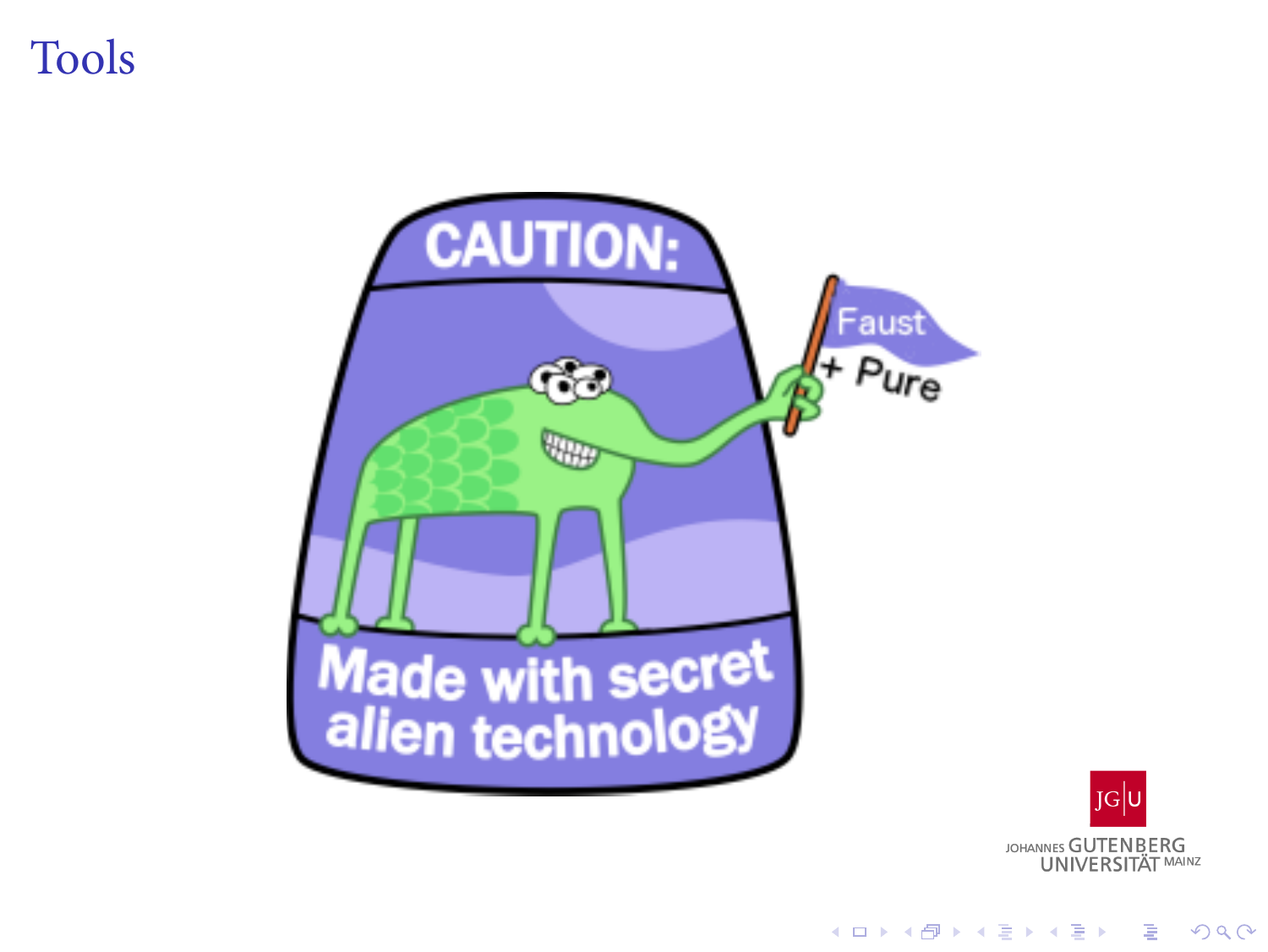## **Tools**

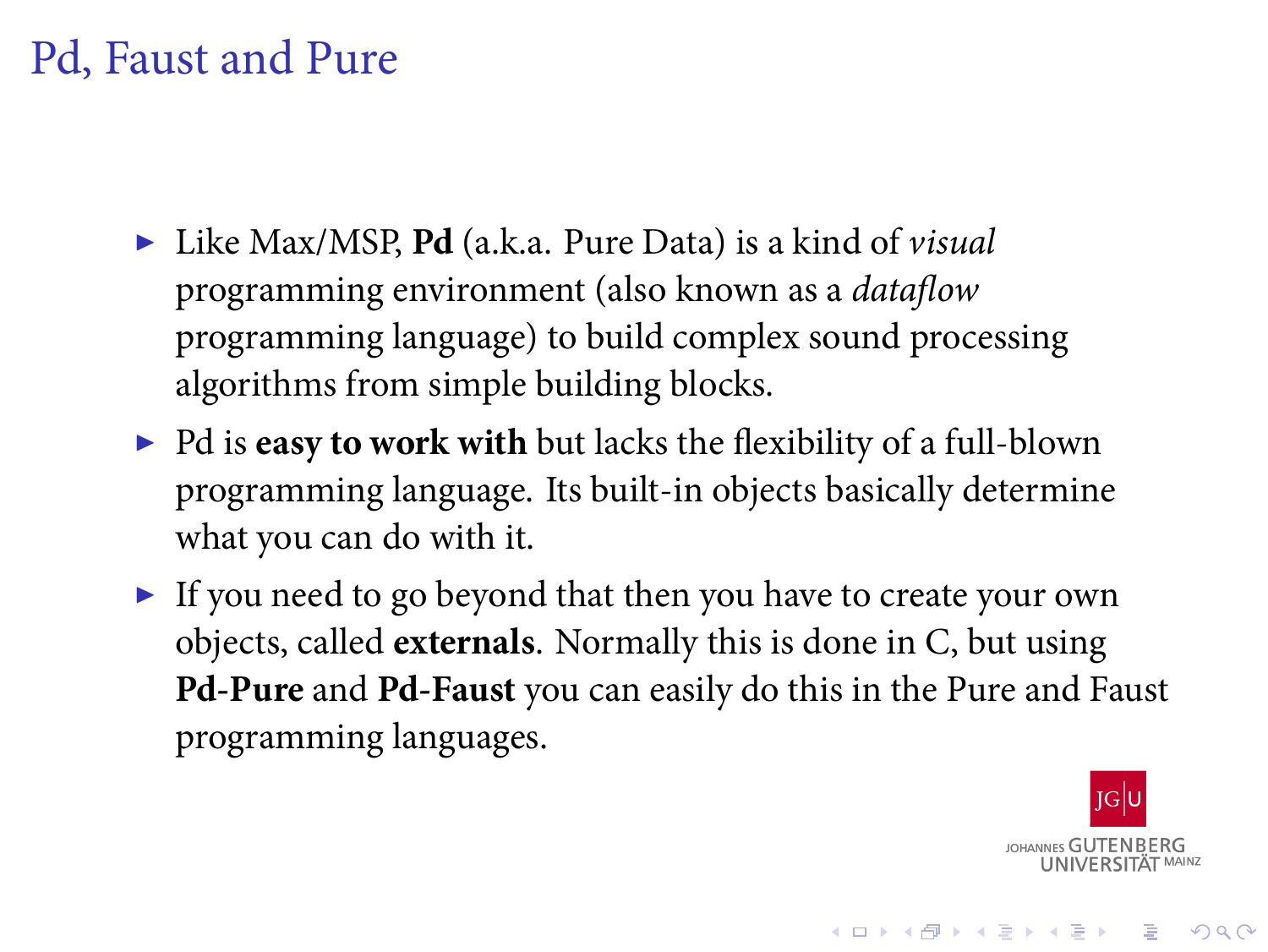## Pd, Faust and Pure

- ▶ Like Max/MSP, **Pd** (a.k.a. Pure Data) is a kind of *visual* programming environment (also known as a *dataflow* programming language) to build complex sound processing algorithms from simple building blocks.
- ▶ Pd is **easy to work with** but lacks the flexibility of a full-blown programming language. Its built-in objects basically determine what you can do with it.
- ▶ If you need to go beyond that then you have to create your own objects, called **externals**. Normally this is done in C, but using **Pd-Pure** and **Pd-Faust** you can easily do this in the Pure and Faust programming languages.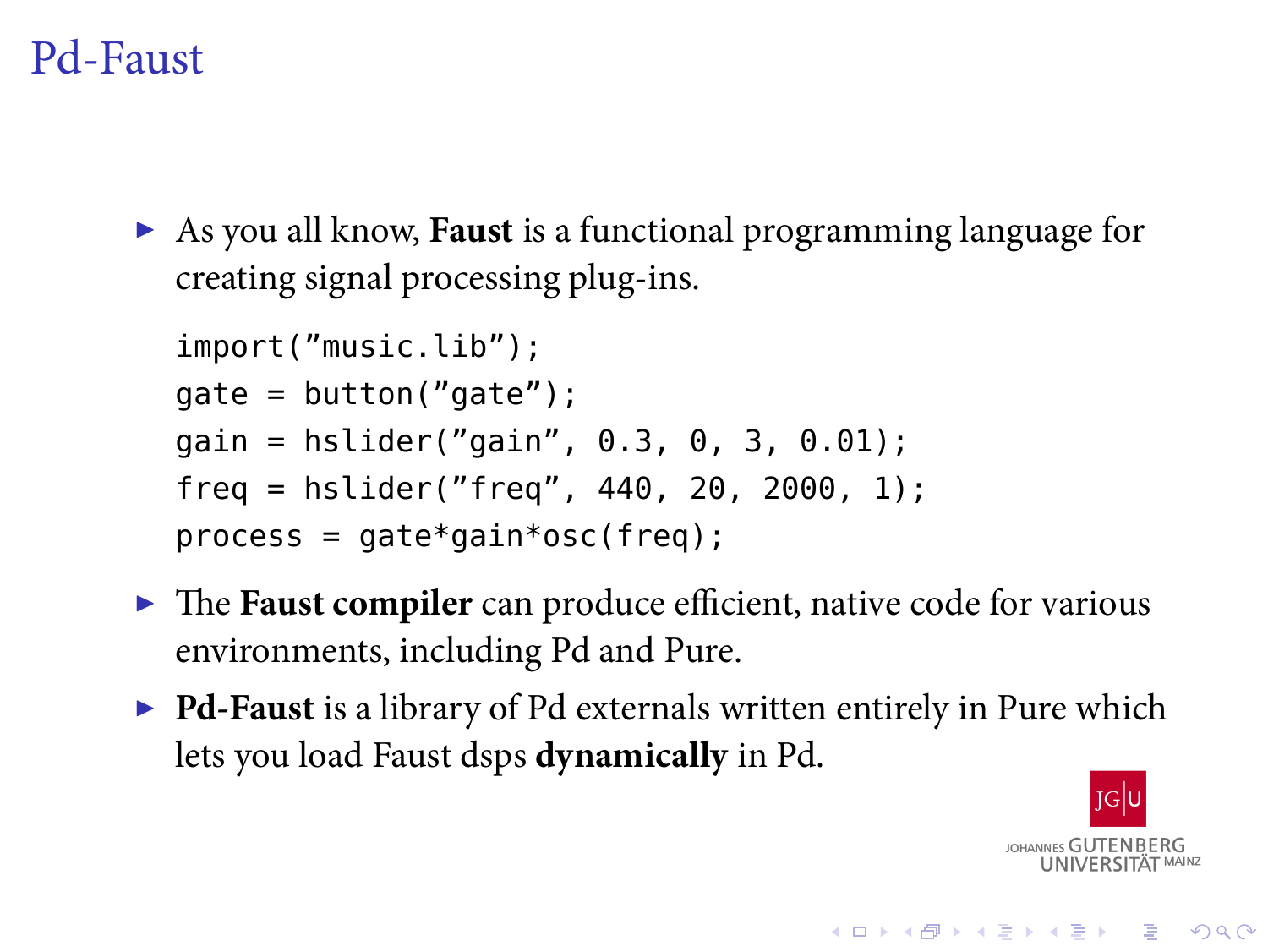#### Pd-Faust

▶ As you all know, **Faust** is a functional programming language for creating signal processing plug-ins.

```
import("music.lib");
gate = button("gate");
gain = hslider("gain", 0.3, 0, 3, 0.01);
freq = hslider("freq", 440, 20, 2000, 1);
process = gate*gain*osc(freq);
```
- ▶ The **Faust compiler** can produce efficient, native code for various environments, including Pd and Pure.
- ▶ **Pd-Faust** is a library of Pd externals written entirely in Pure which lets you load Faust dsps **dynamically** in Pd.

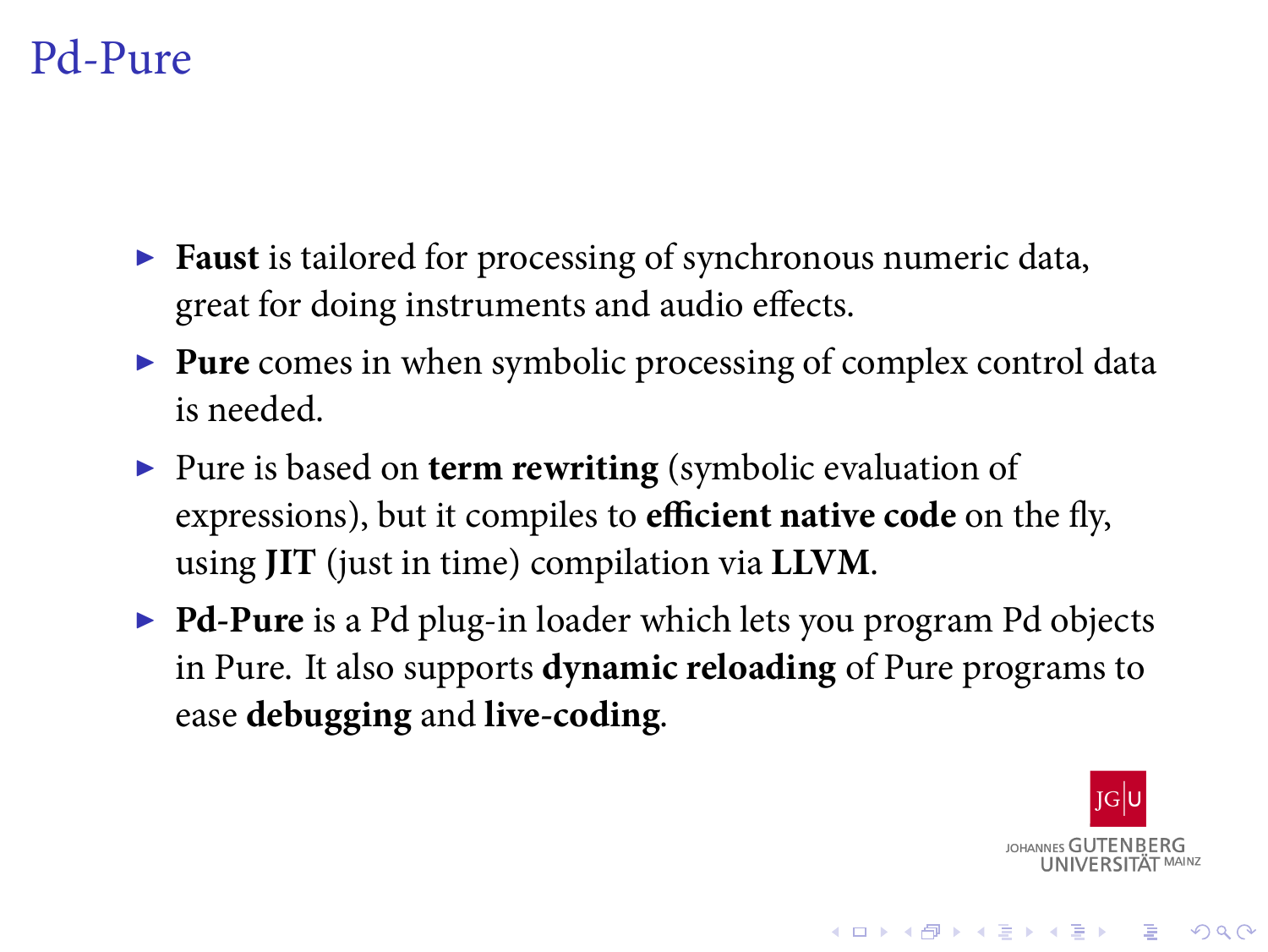### Pd-Pure

- ▶ **Faust** is tailored for processing of synchronous numeric data, great for doing instruments and audio effects.
- ▶ **Pure** comes in when symbolic processing of complex control data is needed.
- ▶ Pure is based on **term rewriting** (symbolic evaluation of expressions), but it compiles to **efficient native code** on the fly, using **JIT** (just in time) compilation via **LLVM**.
- ▶ **Pd-Pure** is a Pd plug-in loader which lets you program Pd objects in Pure. It also supports **dynamic reloading** of Pure programs to ease **debugging** and **live-coding**.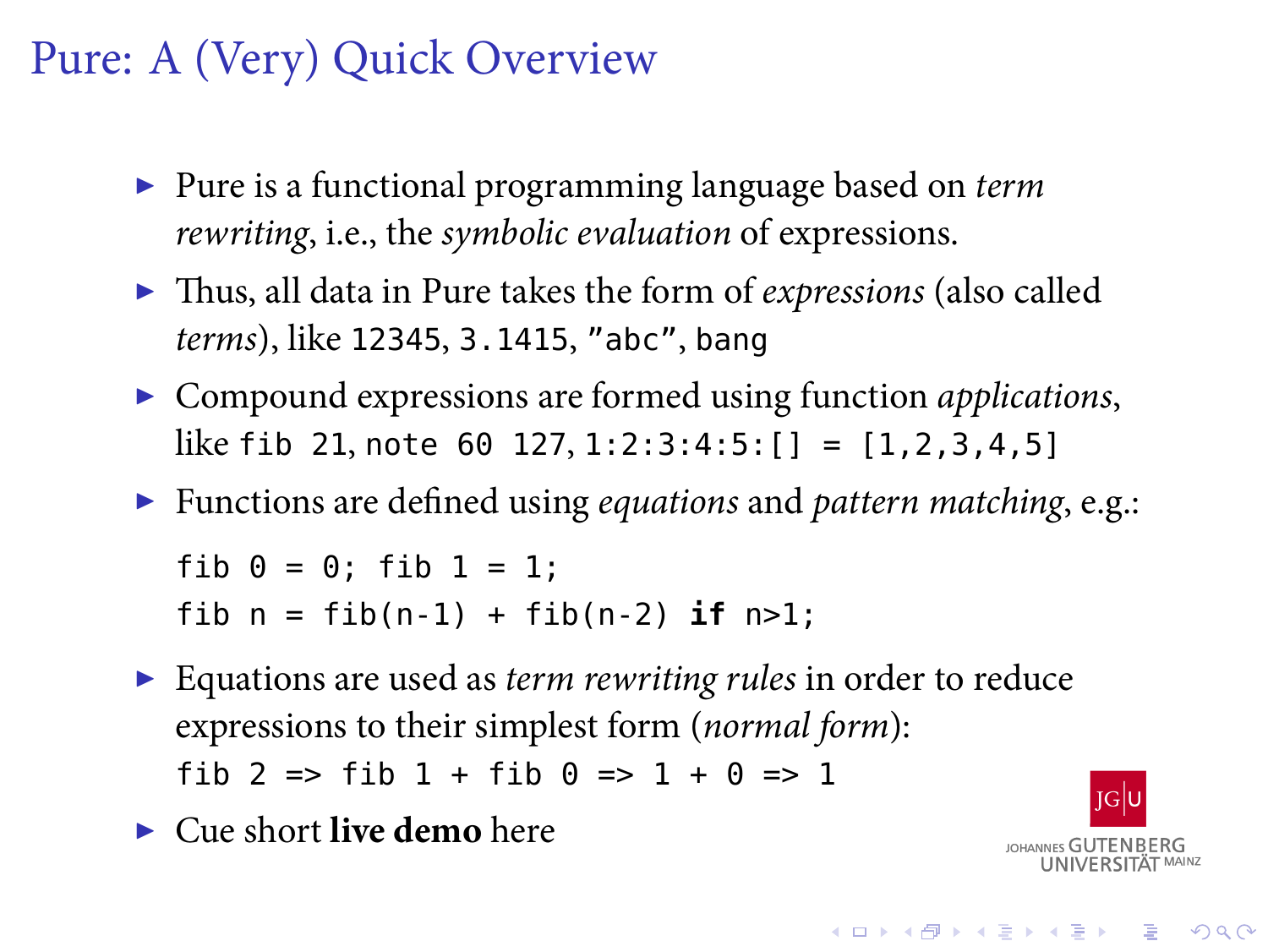#### Pure: A (Very) Quick Overview

- ▶ Pure is a functional programming language based on *term rewriting*, i.e., the *symbolic evaluation* of expressions.
- ▶ Thus, all data in Pure takes the form of *expressions* (also called *terms*), like 12345, 3.1415, "abc", bang
- ▶ Compound expressions are formed using function *applications*, like fib 21, note 60 127, 1:2:3:4:5:[] = [1,2,3,4,5]
- ▶ Functions are defined using *equations* and *pattern matching*, e.g.:

```
fib 0 = 0; fib 1 = 1;
fib n = fib(n-1) + fib(n-2) if n>1;
```
- ▶ Equations are used as *term rewriting rules* in order to reduce expressions to their simplest form (*normal form*): fib 2 => fib 1 + fib  $0$  => 1 +  $0$  => 1
- ▶ Cue short **live demo** here

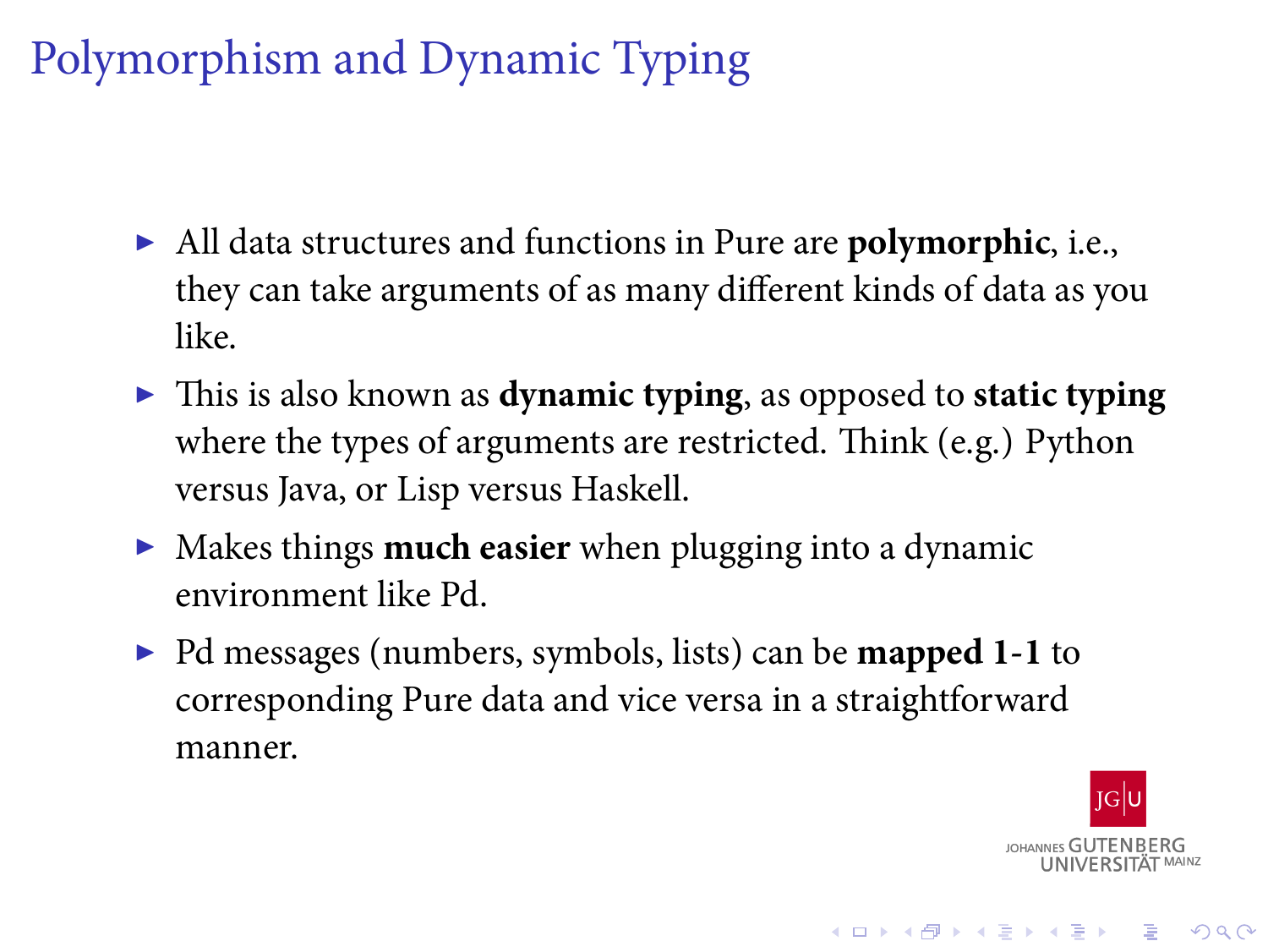## Polymorphism and Dynamic Typing

- ▶ All data structures and functions in Pure are **polymorphic**, i.e., they can take arguments of as many different kinds of data as you like.
- ▶ This is also known as **dynamic typing**, as opposed to **static typing** where the types of arguments are restricted. Think (e.g.) Python versus Java, or Lisp versus Haskell.
- ▶ Makes things **much easier** when plugging into a dynamic environment like Pd.
- ▶ Pd messages (numbers, symbols, lists) can be **mapped 1-1** to corresponding Pure data and vice versa in a straightforward manner.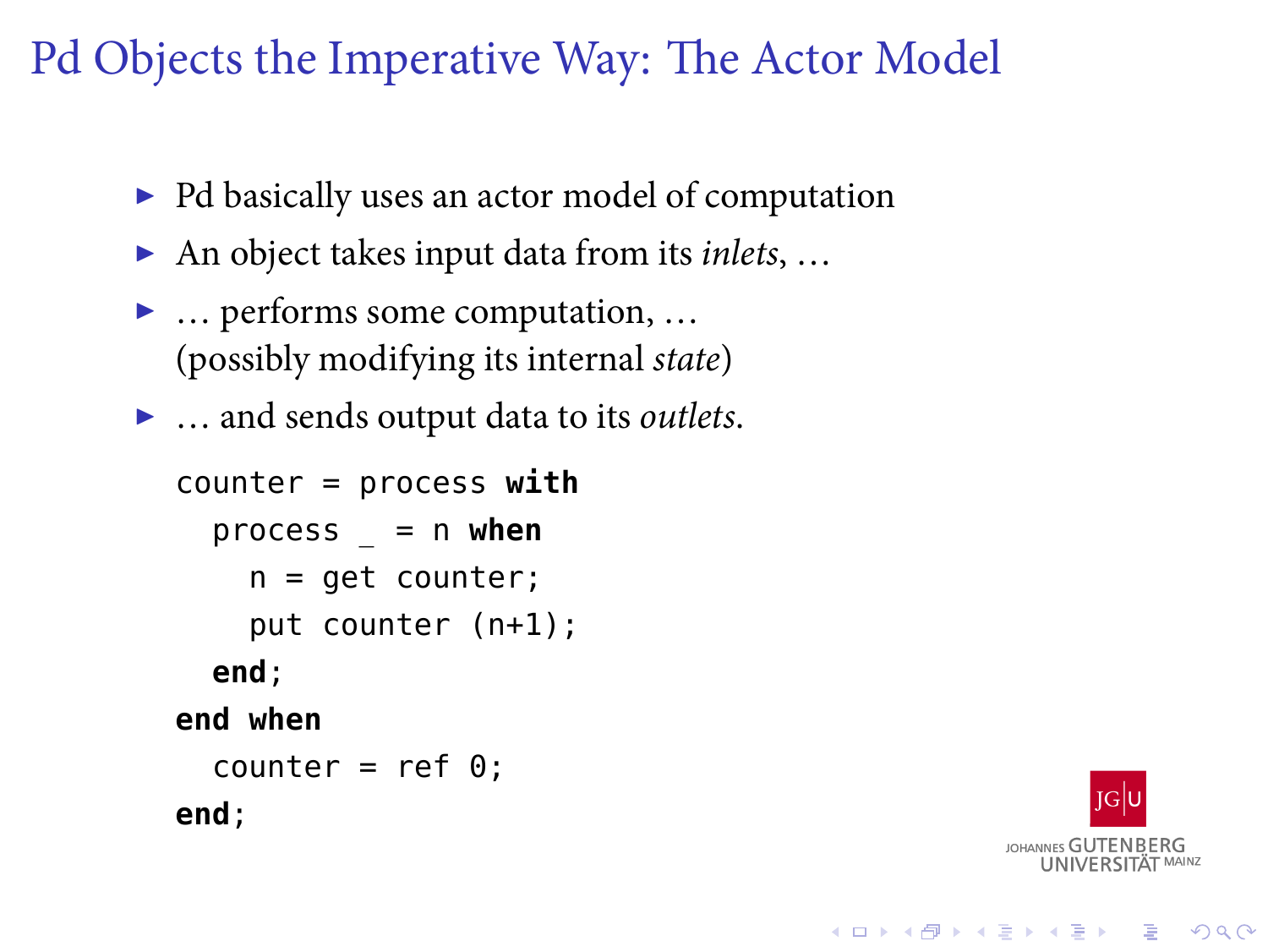## Pd Objects the Imperative Way: The Actor Model

- ▶ Pd basically uses an actor model of computation
- ▶ An object takes input data from its *inlets*, …
- ▶ … performs some computation, … (possibly modifying its internal *state*)
- ▶ … and sends output data to its *outlets*.

```
counter = process with
  process _ = n when
    n = get counter;
    put counter (n+1);
  end;
end when
  counter = ref \theta;
end;
```
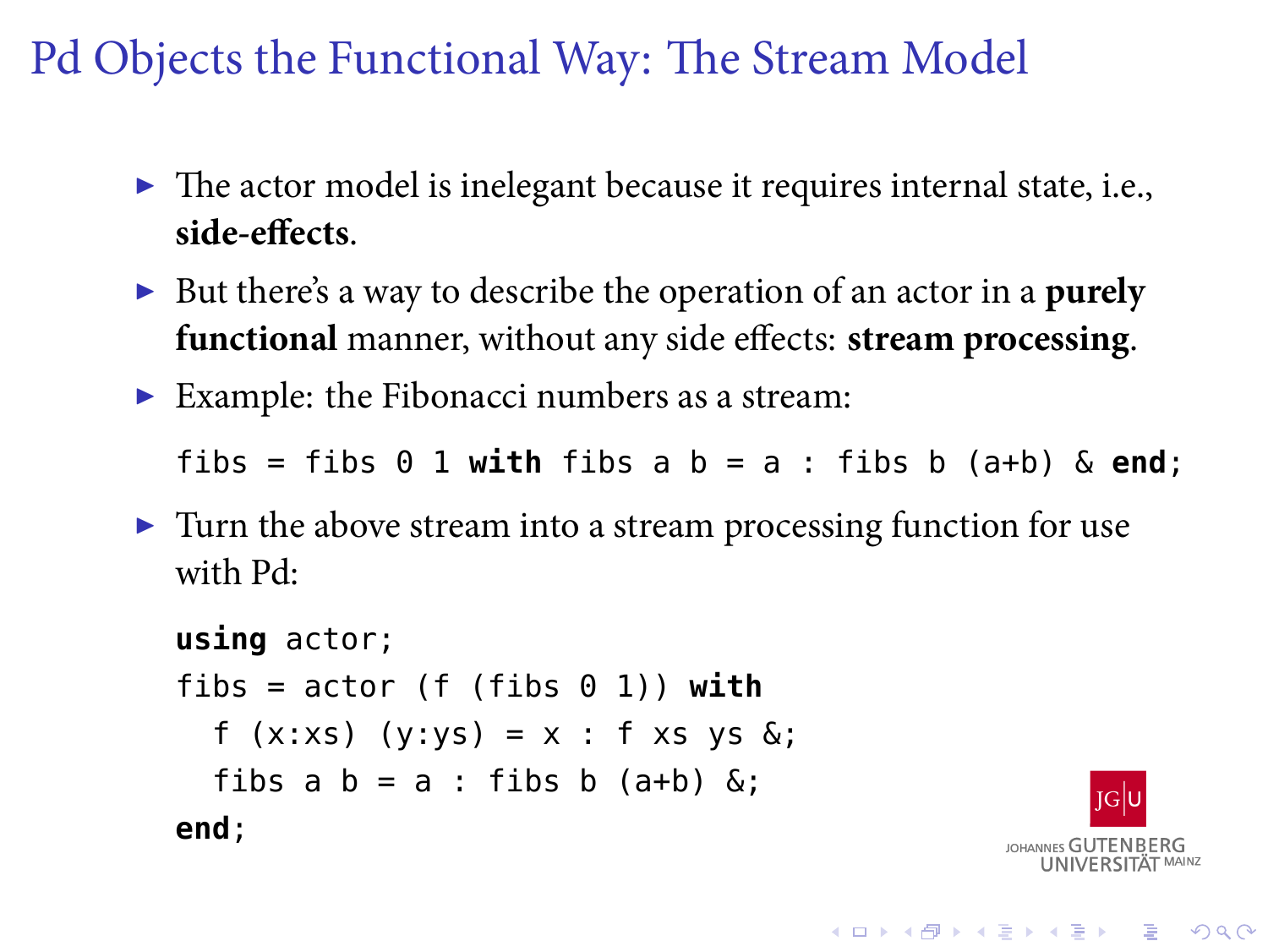## Pd Objects the Functional Way: The Stream Model

- ▶ The actor model is inelegant because it requires internal state, i.e., **side-effects**.
- ▶ But there's a way to describe the operation of an actor in a **purely functional** manner, without any side effects: **stream processing**.
- ▶ Example: the Fibonacci numbers as a stream:

fibs = fibs 0 1 **with** fibs a b = a : fibs b (a+b) & **end**;

▶ Turn the above stream into a stream processing function for use with Pd:

```
using actor;
fibs = actor (f (fibs 0 1)) with
  f (x:xs) (y:ys) = x : f xs ys &;;fibs a b = a: fibs b (a+b) &;
end;
```
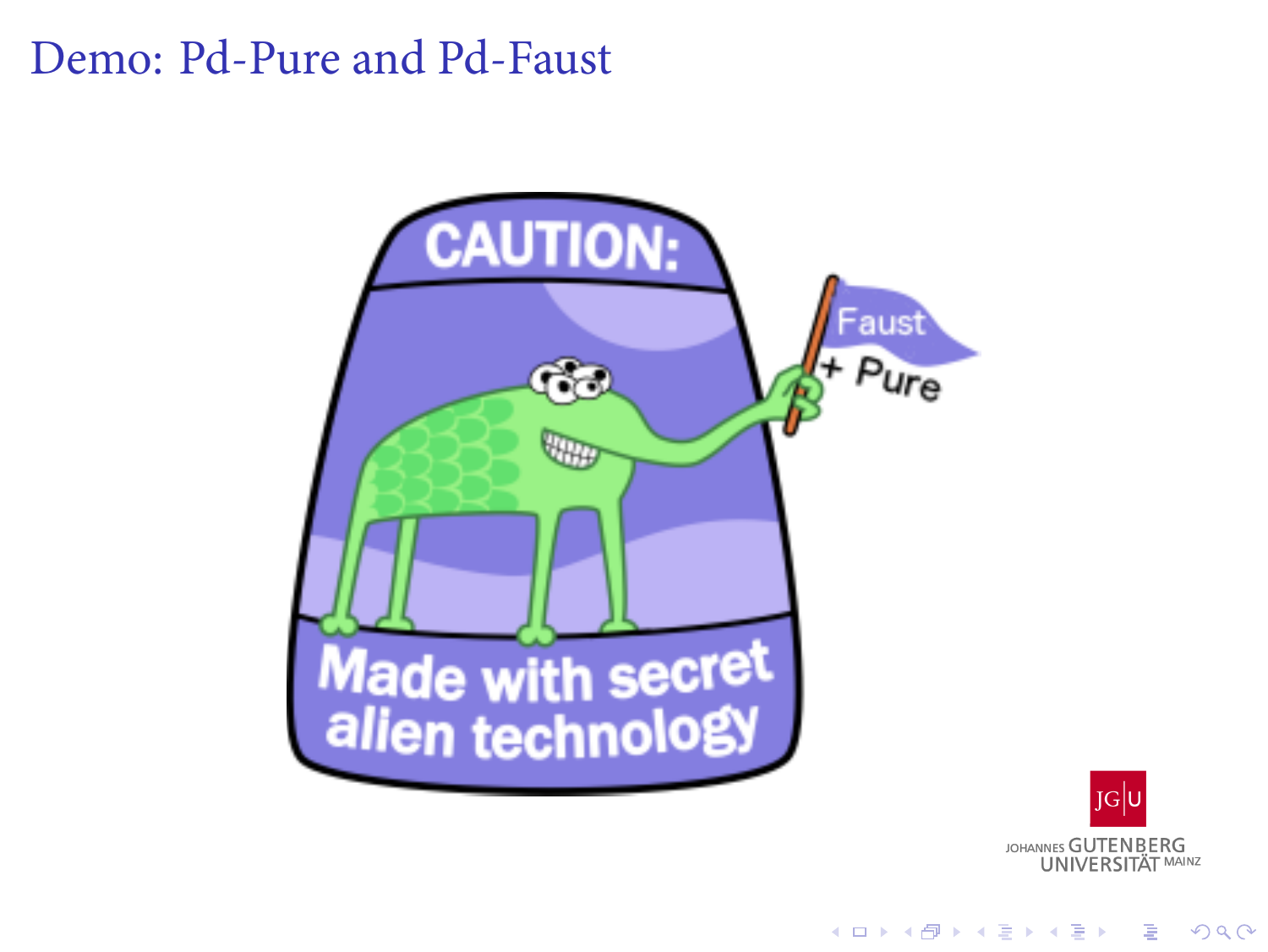## Demo: Pd-Pure and Pd-Faust

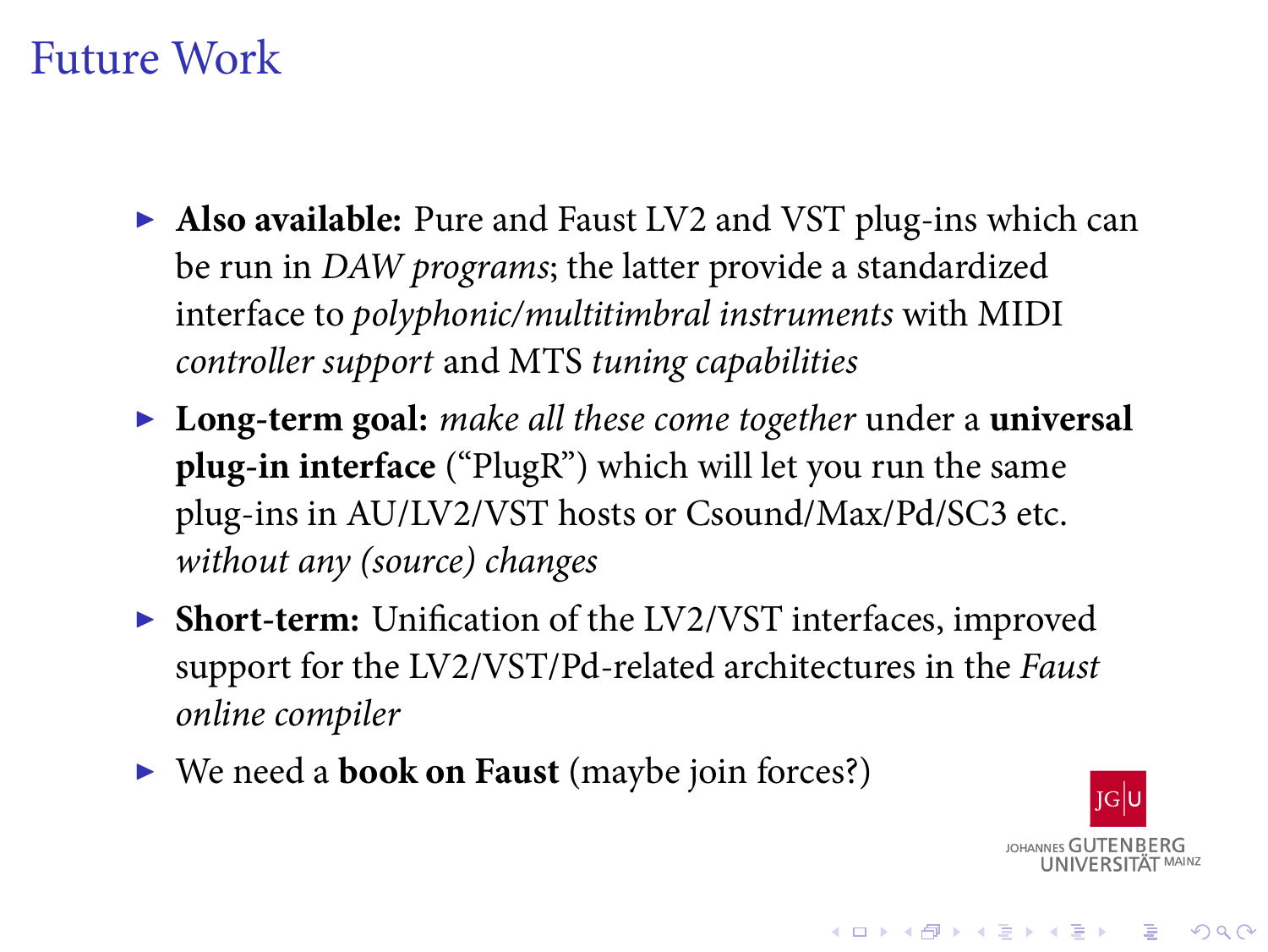#### Future Work

- ▶ **Also available:** Pure and Faust LV2 and VST plug-ins which can be run in *DAW programs*; the latter provide a standardized interface to *polyphonic/multitimbral instruments* with MIDI *controller support* and MTS *tuning capabilities*
- ▶ **Long-term goal:** *make all these come together* under a **universal plug-in interface** ("PlugR") which will let you run the same plug-ins in AU/LV2/VST hosts or Csound/Max/Pd/SC3 etc. *without any (source) changes*
- ▶ **Short-term:** Unification of the LV2/VST interfaces, improved support for the LV2/VST/Pd-related architectures in the *Faust online compiler*
- ▶ We need a **book on Faust** (maybe join forces?)